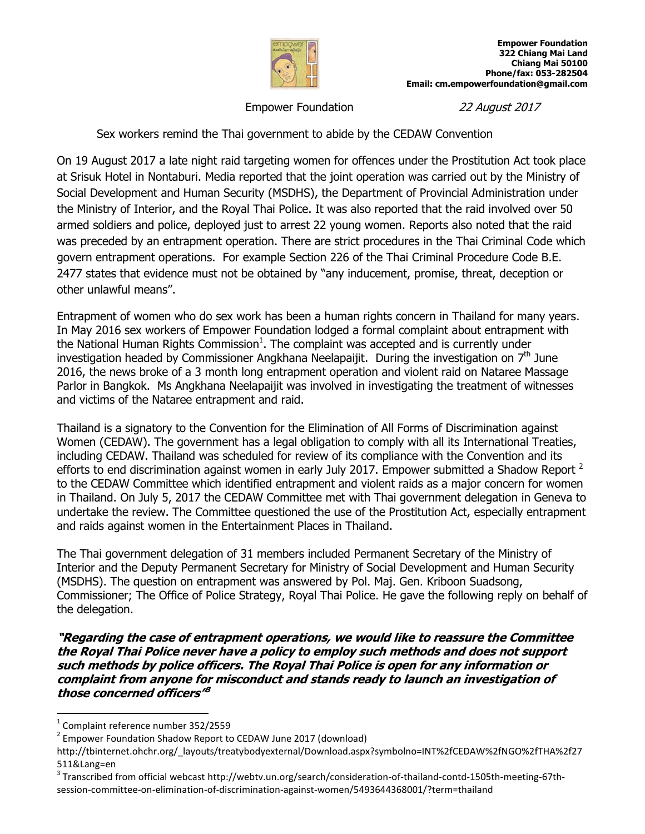

Empower Foundation 22 August 2017

Sex workers remind the Thai government to abide by the CEDAW Convention

On 19 August 2017 a late night raid targeting women for offences under the Prostitution Act took place at Srisuk Hotel in Nontaburi. Media reported that the joint operation was carried out by the Ministry of Social Development and Human Security (MSDHS), the Department of Provincial Administration under the Ministry of Interior, and the Royal Thai Police. It was also reported that the raid involved over 50 armed soldiers and police, deployed just to arrest 22 young women. Reports also noted that the raid was preceded by an entrapment operation. There are strict procedures in the Thai Criminal Code which govern entrapment operations. For example Section 226 of the Thai Criminal Procedure Code B.E. 2477 states that evidence must not be obtained by "any inducement, promise, threat, deception or other unlawful means".

Entrapment of women who do sex work has been a human rights concern in Thailand for many years. In May 2016 sex workers of Empower Foundation lodged a formal complaint about entrapment with the National Human Rights Commission $^1$ . The complaint was accepted and is currently under investigation headed by Commissioner Angkhana Neelapaijit. During the investigation on  $7<sup>th</sup>$  June 2016, the news broke of a 3 month long entrapment operation and violent raid on Nataree Massage Parlor in Bangkok. Ms Angkhana Neelapaijit was involved in investigating the treatment of witnesses and victims of the Nataree entrapment and raid.

Thailand is a signatory to the Convention for the Elimination of All Forms of Discrimination against Women (CEDAW). The government has a legal obligation to comply with all its International Treaties, including CEDAW. Thailand was scheduled for review of its compliance with the Convention and its efforts to end discrimination against women in early July 2017. Empower submitted a Shadow Report  $^2$ to the CEDAW Committee which identified entrapment and violent raids as a major concern for women in Thailand. On July 5, 2017 the CEDAW Committee met with Thai government delegation in Geneva to undertake the review. The Committee questioned the use of the Prostitution Act, especially entrapment and raids against women in the Entertainment Places in Thailand.

The Thai government delegation of 31 members included Permanent Secretary of the Ministry of Interior and the Deputy Permanent Secretary for Ministry of Social Development and Human Security (MSDHS). The question on entrapment was answered by Pol. Maj. Gen. Kriboon Suadsong, Commissioner; The Office of Police Strategy, Royal Thai Police. He gave the following reply on behalf of the delegation.

**"Regarding the case of entrapment operations, we would like to reassure the Committee the Royal Thai Police never have a policy to employ such methods and does not support such methods by police officers. The Royal Thai Police is open for any information or complaint from anyone for misconduct and stands ready to launch an investigation of those concerned officers" 3**

 $\overline{a}$ 

 $^3$  Transcribed from official webcast http://webtv.un.org/search/consideration-of-thailand-contd-1505th-meeting-67thsession-committee-on-elimination-of-discrimination-against-women/5493644368001/?term=thailand

 $<sup>1</sup>$  Complaint reference number 352/2559</sup>

<sup>&</sup>lt;sup>2</sup> Empower Foundation Shadow Report to CEDAW June 2017 (download)

http://tbinternet.ohchr.org/\_layouts/treatybodyexternal/Download.aspx?symbolno=INT%2fCEDAW%2fNGO%2fTHA%2f27 511&Lang=en